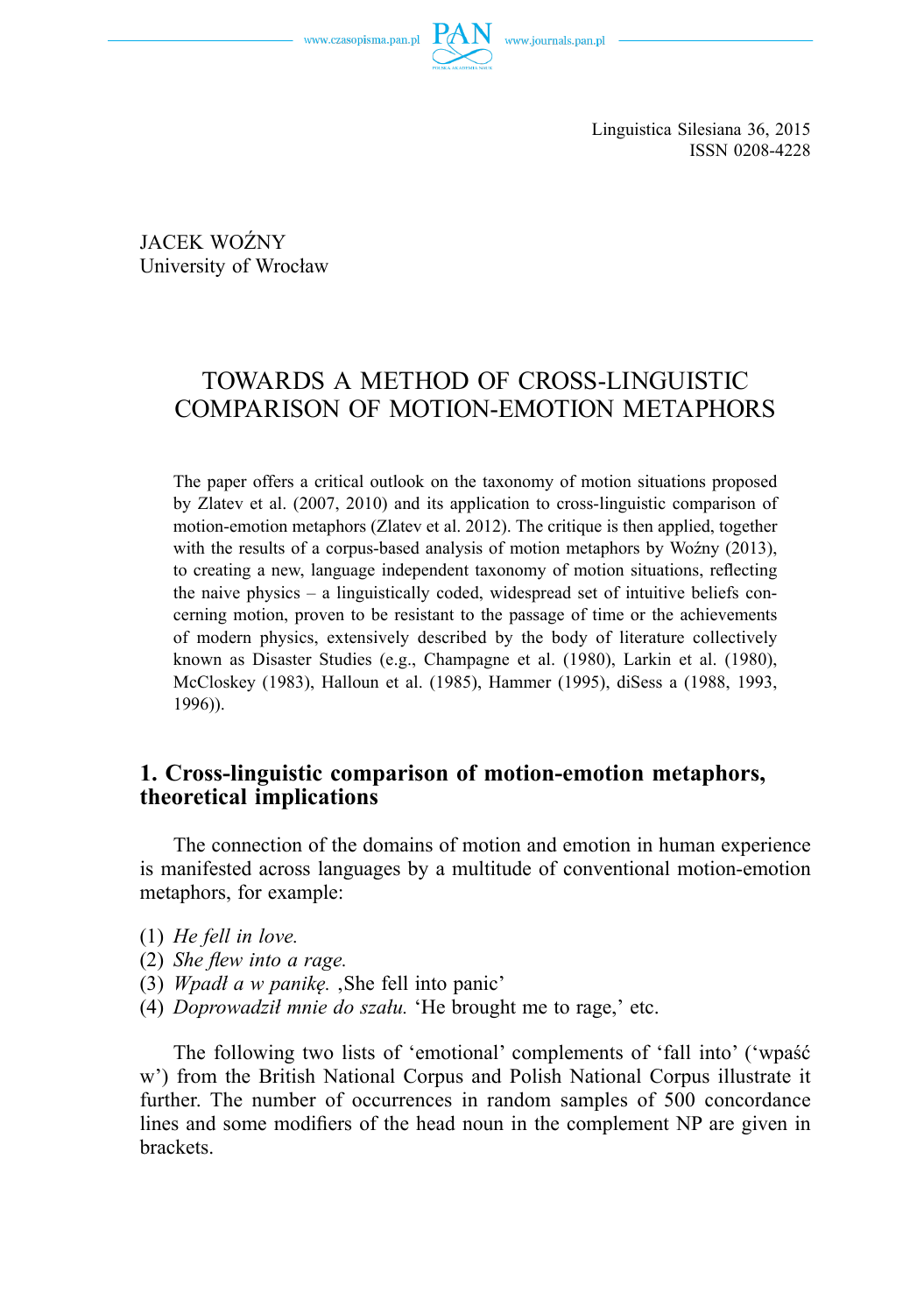

Linguistica Silesiana 36, 2015 ISSN 0208-4228

JACEK WOŹNY University of Wrocław

# TOWARDS A METHOD OF CROSS-LINGUISTIC COMPARISON OF MOTION-EMOTION METAPHORS

The paper offers a critical outlook on the taxonomy of motion situations proposed by Zlatev et al. (2007, 2010) and its application to cross-linguistic comparison of motion-emotion metaphors (Zlatev et al. 2012). The critique is then applied, together with the results of a corpus-based analysis of motion metaphors by Woźny (2013), to creating a new, language independent taxonomy of motion situations, reflecting the naive physics – a linguistically coded, widespread set of intuitive beliefs concerning motion, proven to be resistant to the passage of time or the achievements of modern physics, extensively described by the body of literature collectively known as Disaster Studies (e.g., Champagne et al. (1980), Larkin et al. (1980), McCloskey (1983), Halloun et al. (1985), Hammer (1995), diSess a (1988, 1993, 1996)).

### **1. Cross-linguistic comparison of motion-emotion metaphors, theoretical implications**

The connection of the domains of motion and emotion in human experience is manifested across languages by a multitude of conventional motion-emotion metaphors, for example:

- (1) *He fell in love.*
- (2) *She flew into a rage.*
- (3) *Wpadł a w panikę.* 'She fell into panic'
- (4) *Doprowadził mnie do szału.* 'He brought me to rage,' etc.

The following two lists of 'emotional' complements of 'fall into' ('wpaść w') from the British National Corpus and Polish National Corpus illustrate it further. The number of occurrences in random samples of 500 concordance lines and some modifiers of the head noun in the complement NP are given in **brackets**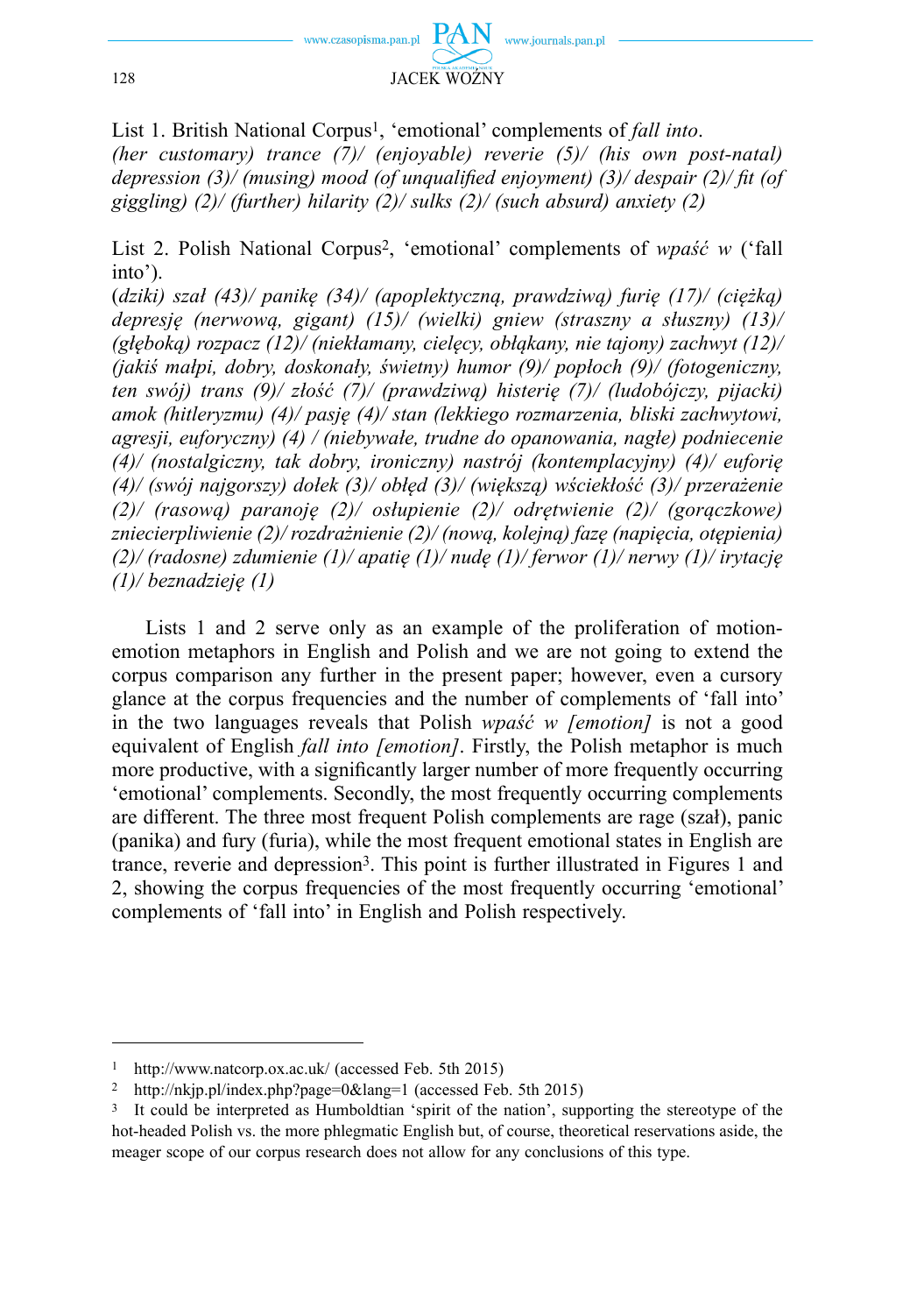

List 1. British National Corpus1, 'emotional' complements of *fall into*. *(her customary) trance (7)/ (enjoyable) reverie (5)/ (his own post-natal) depression (3)/ (musing) mood (of unqualified enjoyment) (3)/ despair (2)/ fit (of giggling) (2)/ (further) hilarity (2)/ sulks (2)/ (such absurd) anxiety (2)*

List 2. Polish National Corpus2, 'emotional' complements of *wpaść w* ('fall into').

(*dziki) szał (43)/ panikę (34)/ (apoplektyczną, prawdziwą) furię (17)/ (ciężką) depresję (nerwową, gigant) (15)/ (wielki) gniew (straszny a słuszny) (13)/ (głęboką) rozpacz (12)/ (niekłamany, cielęcy, obłąkany, nie tajony) zachwyt (12)/ (jakiś małpi, dobry, doskonały, świetny) humor (9)/ popłoch (9)/ (fotogeniczny, ten swój) trans (9)/ złość (7)/ (prawdziwą) histerię (7)/ (ludobójczy, pijacki) amok (hitleryzmu) (4)/ pasję (4)/ stan (lekkiego rozmarzenia, bliski zachwytowi, agresji, euforyczny) (4) / (niebywałe, trudne do opanowania, nagłe) podniecenie (4)/ (nostalgiczny, tak dobry, ironiczny) nastrój (kontemplacyjny) (4)/ euforię (4)/ (swój najgorszy) dołek (3)/ obłęd (3)/ (większą) wściekłość (3)/ przerażenie (2)/ (rasową) paranoję (2)/ osłupienie (2)/ odrętwienie (2)/ (gorączkowe) zniecierpliwienie (2)/ rozdrażnienie (2)/ (nową, kolejną) fazę (napięcia, otępienia) (2)/ (radosne) zdumienie (1)/ apatię (1)/ nudę (1)/ ferwor (1)/ nerwy (1)/ irytację (1)/ beznadzieję (1)*

Lists 1 and 2 serve only as an example of the proliferation of motionemotion metaphors in English and Polish and we are not going to extend the corpus comparison any further in the present paper; however, even a cursory glance at the corpus frequencies and the number of complements of 'fall into' in the two languages reveals that Polish *wpaść w [emotion]* is not a good equivalent of English *fall into [emotion]*. Firstly, the Polish metaphor is much more productive, with a significantly larger number of more frequently occurring 'emotional' complements. Secondly, the most frequently occurring complements are different. The three most frequent Polish complements are rage (szał), panic (panika) and fury (furia), while the most frequent emotional states in English are trance, reverie and depression3. This point is further illustrated in Figures 1 and 2, showing the corpus frequencies of the most frequently occurring 'emotional' complements of 'fall into' in English and Polish respectively.

<sup>1</sup> http://www.natcorp.ox.ac.uk/ (accessed Feb. 5th 2015)

<sup>2</sup> http://nkjp.pl/index.php?page=0&lang=1 (accessed Feb. 5th 2015)

<sup>3</sup> It could be interpreted as Humboldtian 'spirit of the nation', supporting the stereotype of the hot-headed Polish vs. the more phlegmatic English but, of course, theoretical reservations aside, the meager scope of our corpus research does not allow for any conclusions of this type.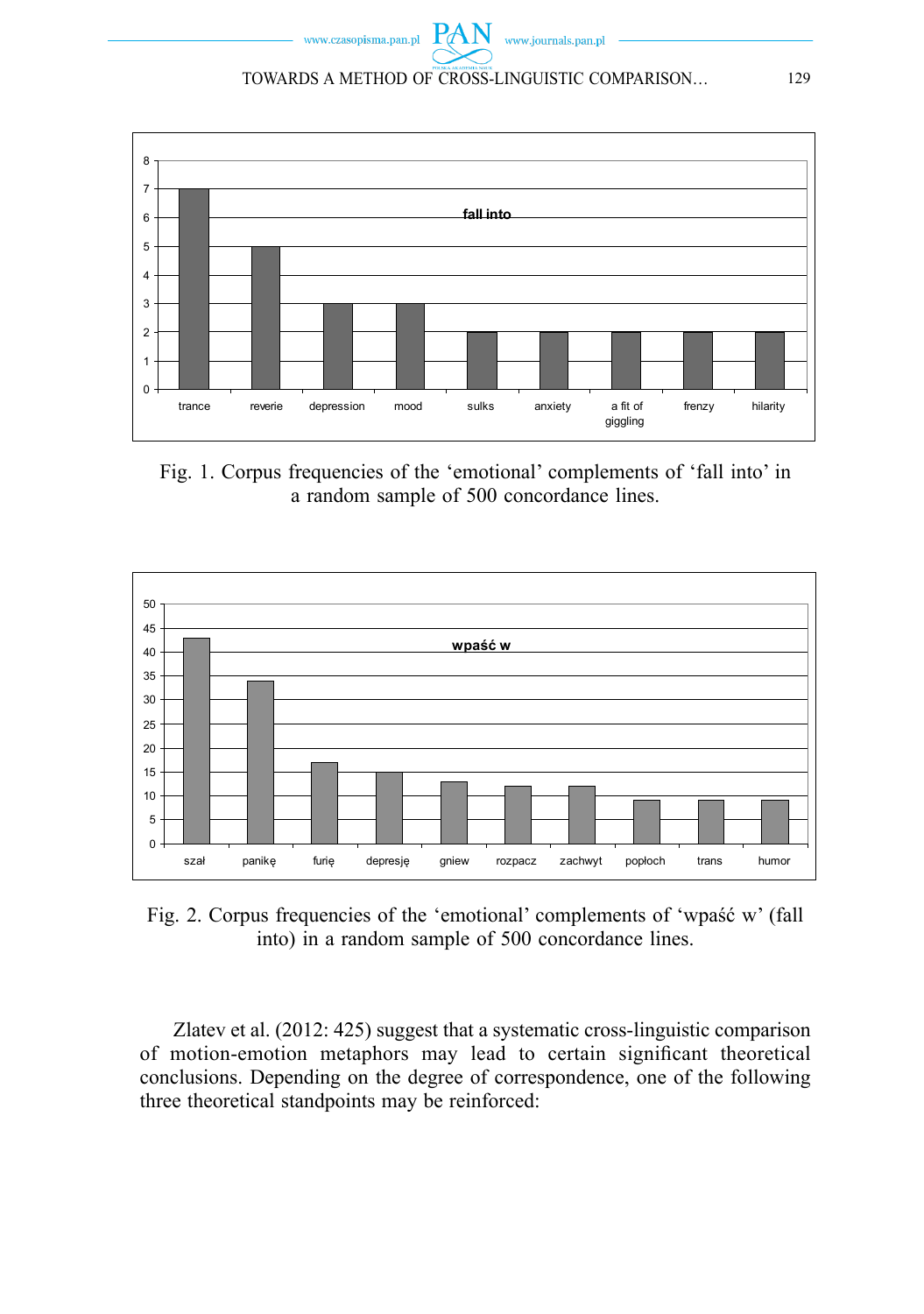**PAN** www.journals.pan.pl www.czasopisma.pan.pl TOWARDS A METHOD OF CROSS-LINGUISTIC COMPARISON… 129



Fig. 1. Corpus frequencies of the 'emotional' complements of 'fall into' in a random sample of 500 concordance lines.



Fig. 2. Corpus frequencies of the 'emotional' complements of 'wpaść w' (fall into) in a random sample of 500 concordance lines.

Zlatev et al. (2012: 425) suggest that a systematic cross-linguistic comparison of motion-emotion metaphors may lead to certain significant theoretical conclusions. Depending on the degree of correspondence, one of the following three theoretical standpoints may be reinforced: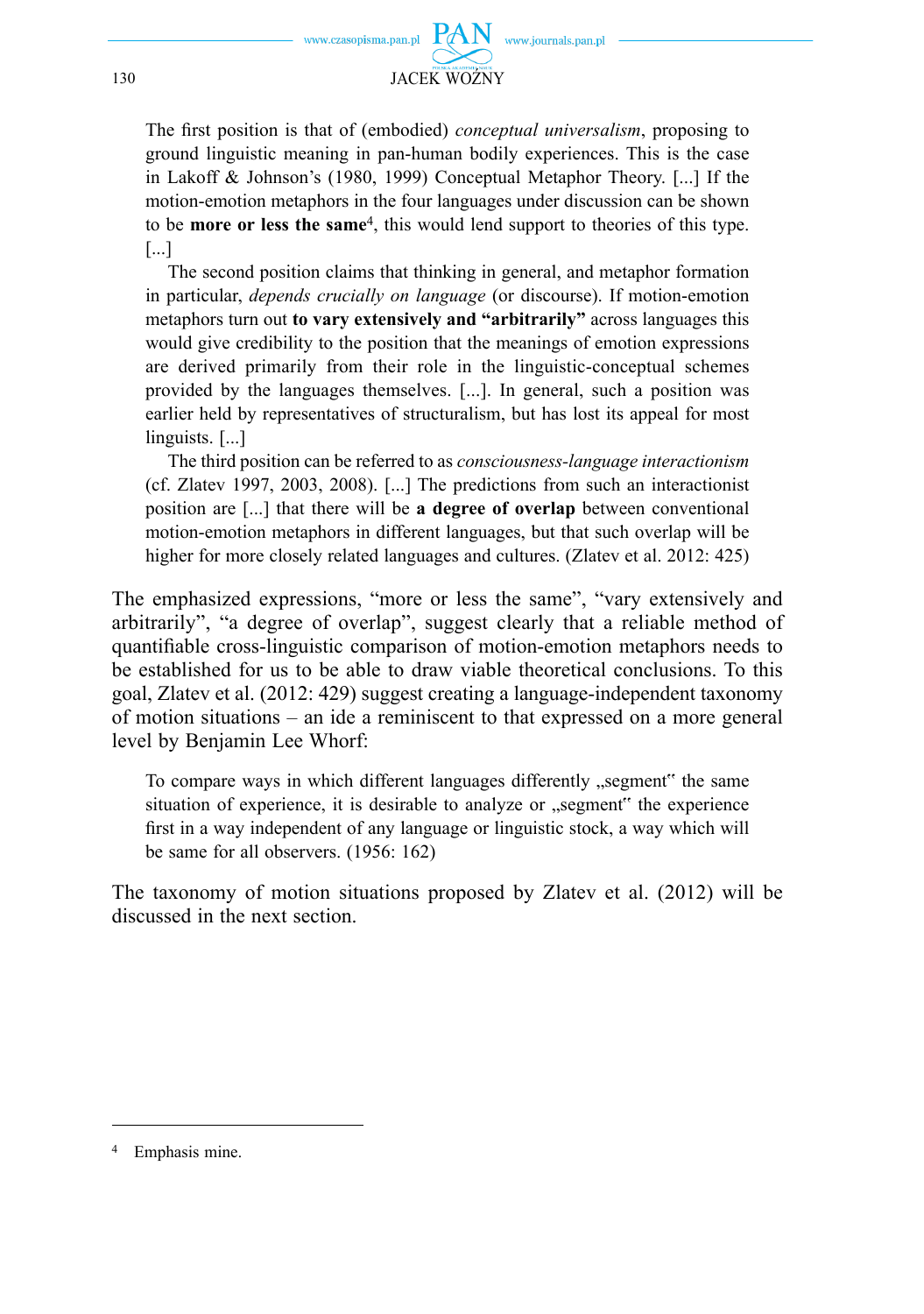

The first position is that of (embodied) *conceptual universalism*, proposing to ground linguistic meaning in pan-human bodily experiences. This is the case in Lakoff & Johnson's (1980, 1999) Conceptual Metaphor Theory. [...] If the motion-emotion metaphors in the four languages under discussion can be shown to be **more or less the same**4, this would lend support to theories of this type. [...]

 The second position claims that thinking in general, and metaphor formation in particular, *depends crucially on language* (or discourse). If motion-emotion meta phors turn out **to vary extensively and "arbitrarily"** across languages this would give credibility to the position that the meanings of emotion expressions are derived primarily from their role in the linguistic-conceptual schemes provided by the languages themselves. [...]. In general, such a position was earlier held by representatives of structuralism, but has lost its appeal for most linguists. [...]

 The third position can be referred to as *consciousness-language interactionism*  (cf. Zlatev 1997, 2003, 2008). [...] The predictions from such an interactionist position are [...] that there will be **a degree of overlap** between conventional motion-emotion metaphors in different languages, but that such overlap will be higher for more closely related languages and cultures. (Zlatev et al. 2012: 425)

The emphasized expressions, "more or less the same", "vary extensively and arbitrarily", "a degree of overlap", suggest clearly that a reliable method of quantifiable cross-linguistic comparison of motion-emotion metaphors needs to be established for us to be able to draw viable theoretical conclusions. To this goal, Zlatev et al. (2012: 429) suggest creating a language-independent taxonomy of motion situations – an ide a reminiscent to that expressed on a more general level by Benjamin Lee Whorf:

To compare ways in which different languages differently "segment" the same situation of experience, it is desirable to analyze or "segment" the experience first in a way independent of any language or linguistic stock, a way which will be same for all observers. (1956: 162)

The taxonomy of motion situations proposed by Zlatev et al. (2012) will be discussed in the next section.

Emphasis mine.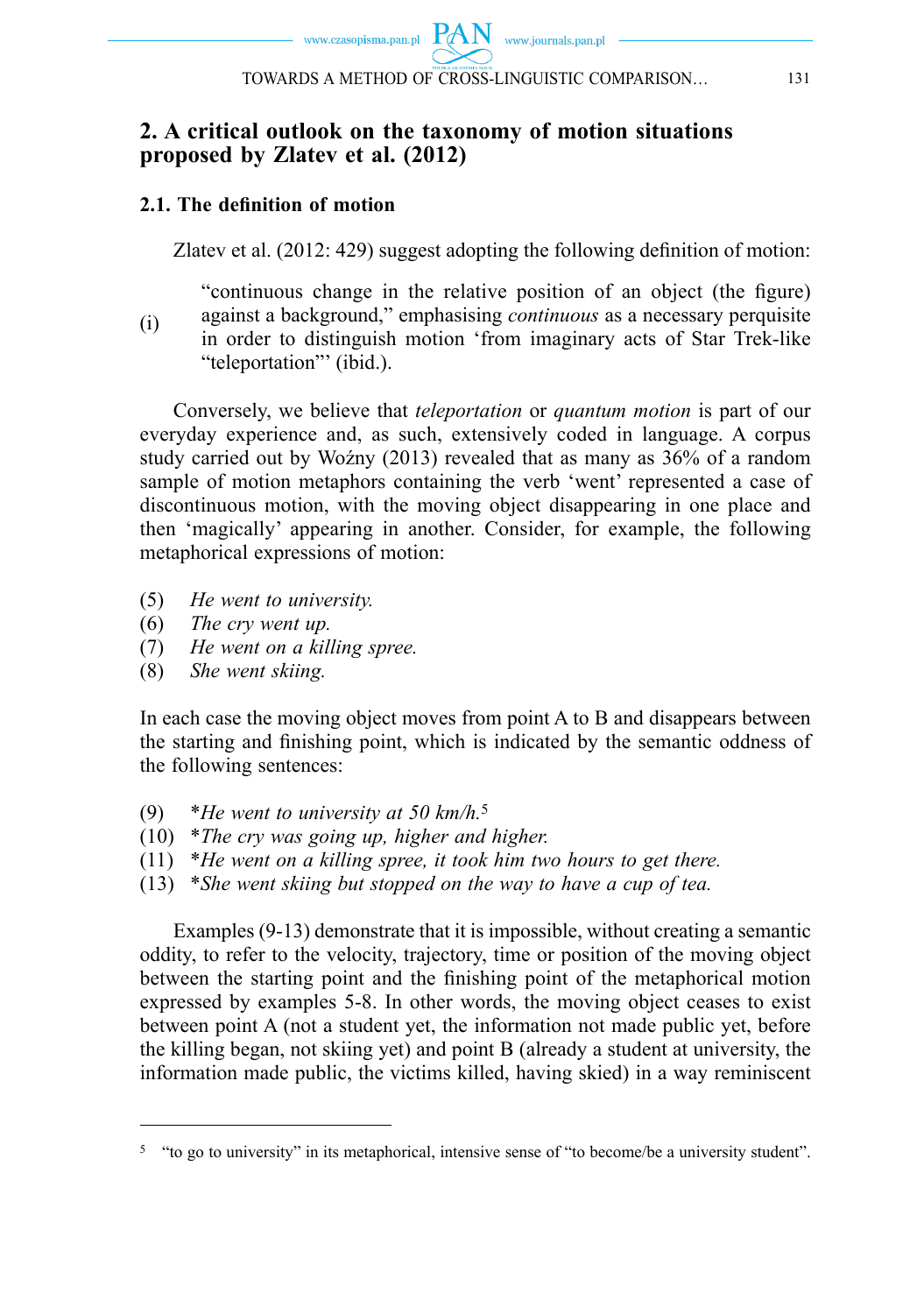# **2. A critical outlook on the taxonomy of motion situations proposed by Zlatev et al. (2012)**

### **2.1. The defi nition of motion**

Zlatev et al.  $(2012: 429)$  suggest adopting the following definition of motion:

(i) "continuous change in the relative position of an object (the figure) against a background," emphasising *continuous* as a necessary perquisite in order to distinguish motion 'from imaginary acts of Star Trek-like "teleportation"' (ibid.).

Conversely, we believe that *teleportation* or *quantum motion* is part of our everyday experience and, as such, extensively coded in language. A corpus study carried out by Woźny (2013) revealed that as many as 36% of a random sample of motion metaphors containing the verb 'went' represented a case of discontinuous motion, with the moving object disappearing in one place and then 'magically' appearing in another. Consider, for example, the following metaphorical expressions of motion:

- (5) *He went to university.*
- (6) *The cry went up.*
- (7) *He went on a killing spree.*
- (8) *She went skiing.*

In each case the moving object moves from point A to B and disappears between the starting and finishing point, which is indicated by the semantic oddness of the following sentences:

- (9) \**He went to university at 50 km/h.*<sup>5</sup>
- (10) \**The cry was going up, higher and higher.*
- (11) \**He went on a killing spree, it took him two hours to get there.*
- (13) \**She went skiing but stopped on the way to have a cup of tea.*

Examples (9-13) demonstrate that it is impossible, without creating a semantic oddity, to refer to the velocity, trajectory, time or position of the moving object between the starting point and the finishing point of the metaphorical motion expressed by examples 5-8. In other words, the moving object ceases to exist between point A (not a student yet, the information not made public yet, before the killing began, not skiing yet) and point B (already a student at university, the information made public, the victims killed, having skied) in a way reminiscent

<sup>5 &</sup>quot;to go to university" in its metaphorical, intensive sense of "to become/be a university student".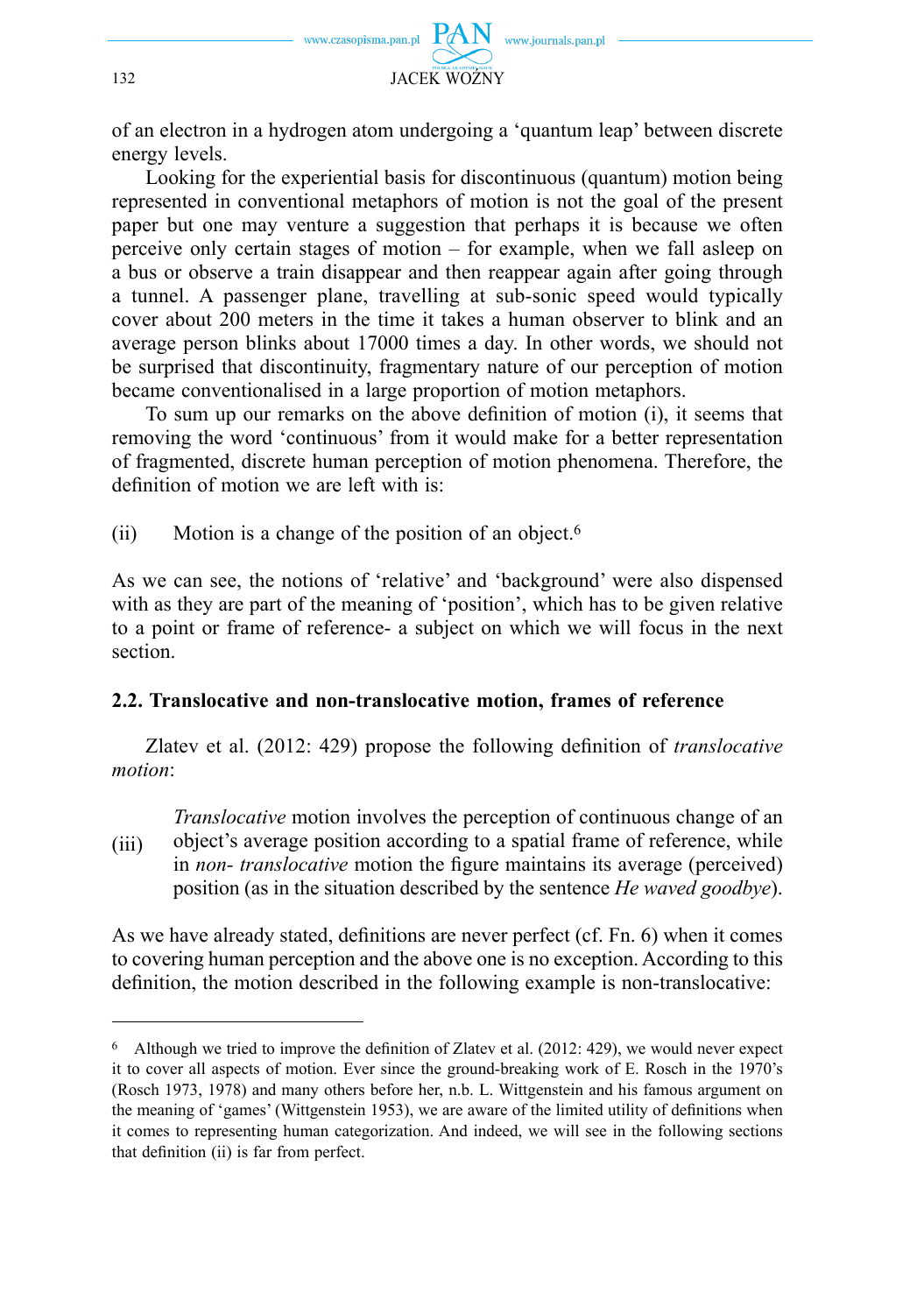

of an electron in a hydrogen atom undergoing a 'quantum leap' between discrete energy levels.

Looking for the experiential basis for discontinuous (quantum) motion being represented in conventional metaphors of motion is not the goal of the present paper but one may venture a suggestion that perhaps it is because we often perceive only certain stages of motion – for example, when we fall asleep on a bus or observe a train disappear and then reappear again after going through a tunnel. A passenger plane, travelling at sub-sonic speed would typically cover about 200 meters in the time it takes a human observer to blink and an average person blinks about 17000 times a day. In other words, we should not be surprised that discontinuity, fragmentary nature of our perception of motion became conventionalised in a large proportion of motion metaphors.

To sum up our remarks on the above definition of motion (i), it seems that removing the word 'continuous' from it would make for a better representation of fragmented, discrete human perception of motion phenomena. Therefore, the definition of motion we are left with is:

(ii) Motion is a change of the position of an object.<sup>6</sup>

As we can see, the notions of 'relative' and 'background' were also dispensed with as they are part of the meaning of 'position', which has to be given relative to a point or frame of reference- a subject on which we will focus in the next section.

### **2.2. Translocative and non-translocative motion, frames of reference**

Zlatev et al. (2012: 429) propose the following definition of *translocative motion*:

(iii) *Translocative* motion involves the perception of continuous change of an object's average position according to a spatial frame of reference, while in *non- translocative* motion the figure maintains its average (perceived) position (as in the situation described by the sentence *He waved goodbye*).

As we have already stated, definitions are never perfect (cf. Fn. 6) when it comes to covering human perception and the above one is no exception. According to this definition, the motion described in the following example is non-translocative:

 $6$  Although we tried to improve the definition of Zlatev et al. (2012: 429), we would never expect it to cover all aspects of motion. Ever since the ground-breaking work of E. Rosch in the 1970's (Rosch 1973, 1978) and many others before her, n.b. L. Wittgenstein and his famous argument on the meaning of 'games' (Wittgenstein 1953), we are aware of the limited utility of definitions when it comes to representing human categorization. And indeed, we will see in the following sections that definition (ii) is far from perfect.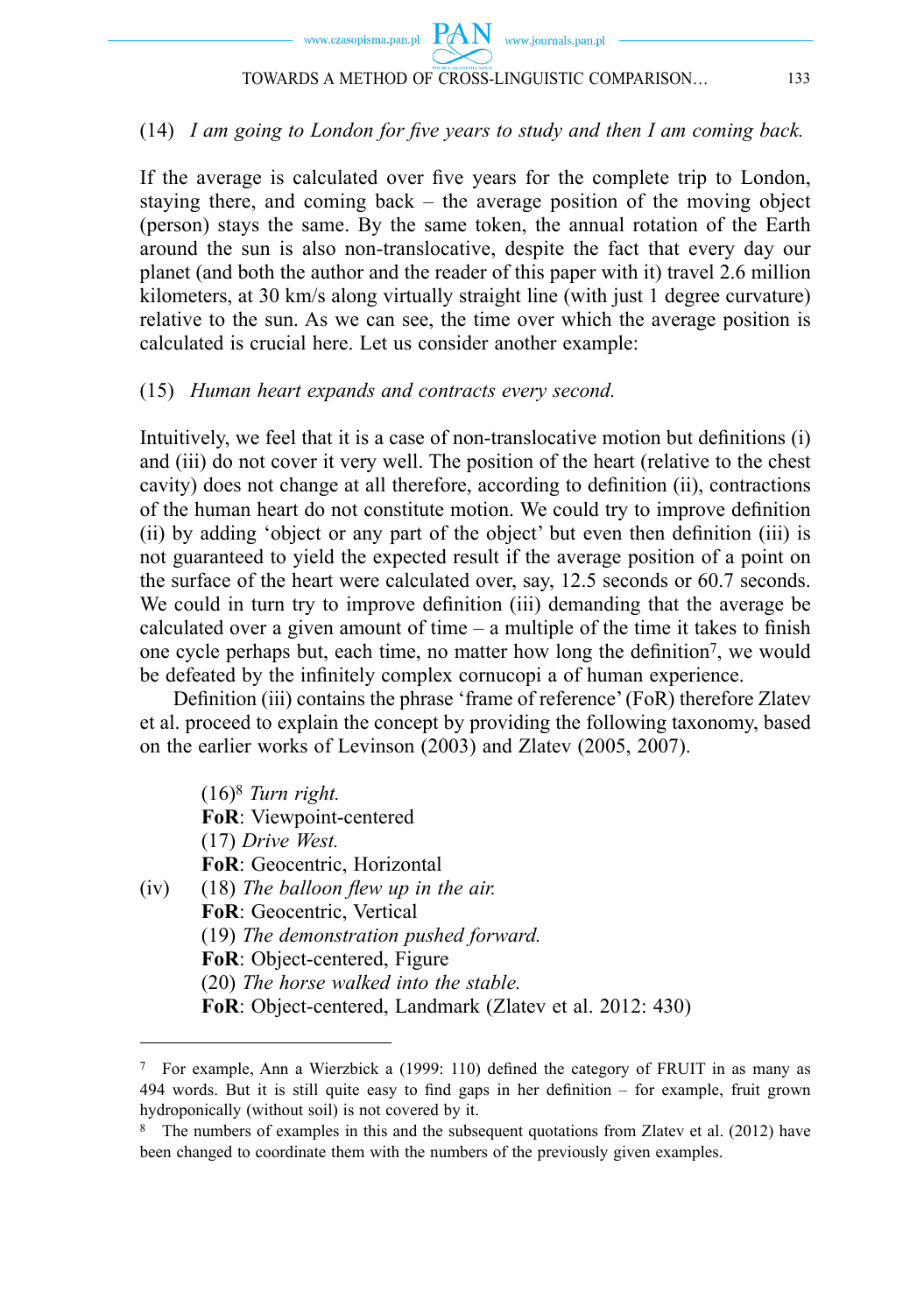

### (14) *I am going to London for five years to study and then I am coming back.*

If the average is calculated over five years for the complete trip to London, staying there, and coming back – the average position of the moving object (person) stays the same. By the same token, the annual rotation of the Earth around the sun is also non-translocative, despite the fact that every day our planet (and both the author and the reader of this paper with it) travel 2.6 million kilometers, at 30 km/s along virtually straight line (with just 1 degree curvature) relative to the sun. As we can see, the time over which the average position is calculated is crucial here. Let us consider another example:

#### (15) *Human heart expands and contracts every second.*

Intuitively, we feel that it is a case of non-translocative motion but definitions  $(i)$ and (iii) do not cover it very well. The position of the heart (relative to the chest cavity) does not change at all therefore, according to definition (ii), contractions of the human heart do not constitute motion. We could try to improve definition  $(ii)$  by adding 'object or any part of the object' but even then definition  $(iii)$  is not guaranteed to yield the expected result if the average position of a point on the surface of the heart were calculated over, say, 12.5 seconds or 60.7 seconds. We could in turn try to improve definition (iii) demanding that the average be calculated over a given amount of time  $-$  a multiple of the time it takes to finish one cycle perhaps but, each time, no matter how long the definition<sup>7</sup>, we would be defeated by the infinitely complex cornucopi a of human experience.

Definition (iii) contains the phrase 'frame of reference' (FoR) therefore Zlatev et al. proceed to explain the concept by providing the following taxonomy, based on the earlier works of Levinson (2003) and Zlatev (2005, 2007).

 (16)8 *Turn right.*   **FoR**: Viewpoint-centered (17) *Drive West.*   **FoR**: Geocentric, Horizontal (iv) (18) The balloon flew up in the air.  **FoR**: Geocentric, Vertical (19) *The demonstration pushed forward.*   **FoR**: Object-centered, Figure (20) *The horse walked into the stable.*   **FoR**: Object-centered, Landmark (Zlatev et al. 2012: 430)

 $7$  For example, Ann a Wierzbick a (1999: 110) defined the category of FRUIT in as many as 494 words. But it is still quite easy to find gaps in her definition  $-$  for example, fruit grown hydroponically (without soil) is not covered by it.

<sup>8</sup> The numbers of examples in this and the subsequent quotations from Zlatev et al. (2012) have been changed to coordinate them with the numbers of the previously given examples.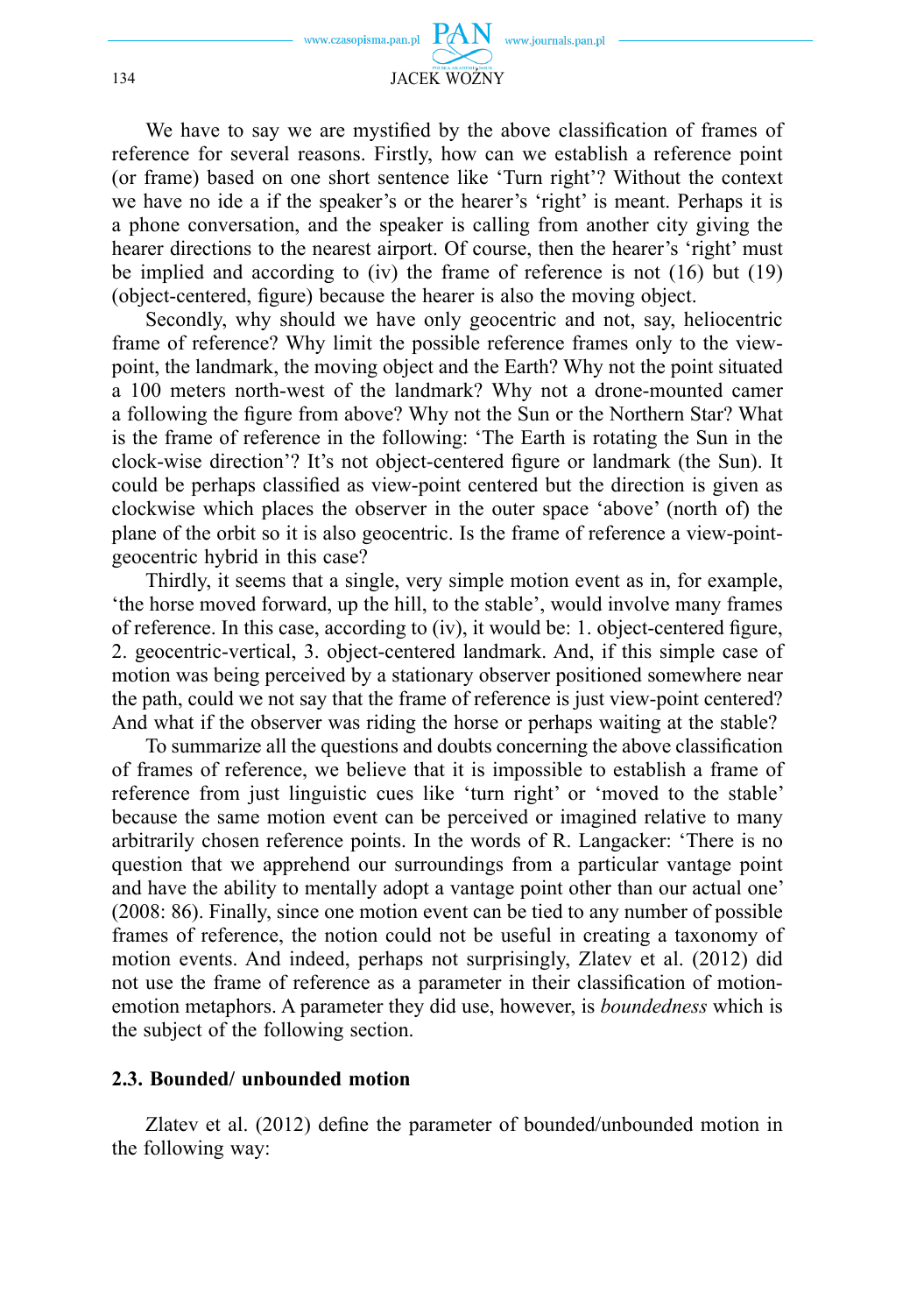

We have to say we are mystified by the above classification of frames of reference for several reasons. Firstly, how can we establish a reference point (or frame) based on one short sentence like 'Turn right'? Without the context we have no ide a if the speaker's or the hearer's 'right' is meant. Perhaps it is a phone conversation, and the speaker is calling from another city giving the hearer directions to the nearest airport. Of course, then the hearer's 'right' must be implied and according to (iv) the frame of reference is not (16) but (19) (object-centered, figure) because the hearer is also the moving object.

Secondly, why should we have only geocentric and not, say, heliocentric frame of reference? Why limit the possible reference frames only to the viewpoint, the landmark, the moving object and the Earth? Why not the point situated a 100 meters north-west of the landmark? Why not a drone-mounted camer a following the figure from above? Why not the Sun or the Northern Star? What is the frame of reference in the following: 'The Earth is rotating the Sun in the clock-wise direction'? It's not object-centered figure or landmark (the Sun). It could be perhaps classified as view-point centered but the direction is given as clockwise which places the observer in the outer space 'above' (north of) the plane of the orbit so it is also geocentric. Is the frame of reference a view-pointgeocentric hybrid in this case?

Thirdly, it seems that a single, very simple motion event as in, for example, 'the horse moved forward, up the hill, to the stable', would involve many frames of reference. In this case, according to (iv), it would be: 1. object-centered figure, 2. geocentric-vertical, 3. object-centered landmark. And, if this simple case of motion was being perceived by a stationary observer positioned somewhere near the path, could we not say that the frame of reference is just view-point centered? And what if the observer was riding the horse or perhaps waiting at the stable?

To summarize all the questions and doubts concerning the above classification of frames of reference, we believe that it is impossible to establish a frame of reference from just linguistic cues like 'turn right' or 'moved to the stable' because the same motion event can be perceived or imagined relative to many arbitrarily chosen reference points. In the words of R. Langacker: 'There is no question that we apprehend our surroundings from a particular vantage point and have the ability to mentally adopt a vantage point other than our actual one' (2008: 86). Finally, since one motion event can be tied to any number of possible frames of reference, the notion could not be useful in creating a taxonomy of motion events. And indeed, perhaps not surprisingly, Zlatev et al. (2012) did not use the frame of reference as a parameter in their classification of motionemotion metaphors. A parameter they did use, however, is *boundedness* which is the subject of the following section.

### **2.3. Bounded/ unbounded motion**

Zlatev et al.  $(2012)$  define the parameter of bounded/unbounded motion in the following way: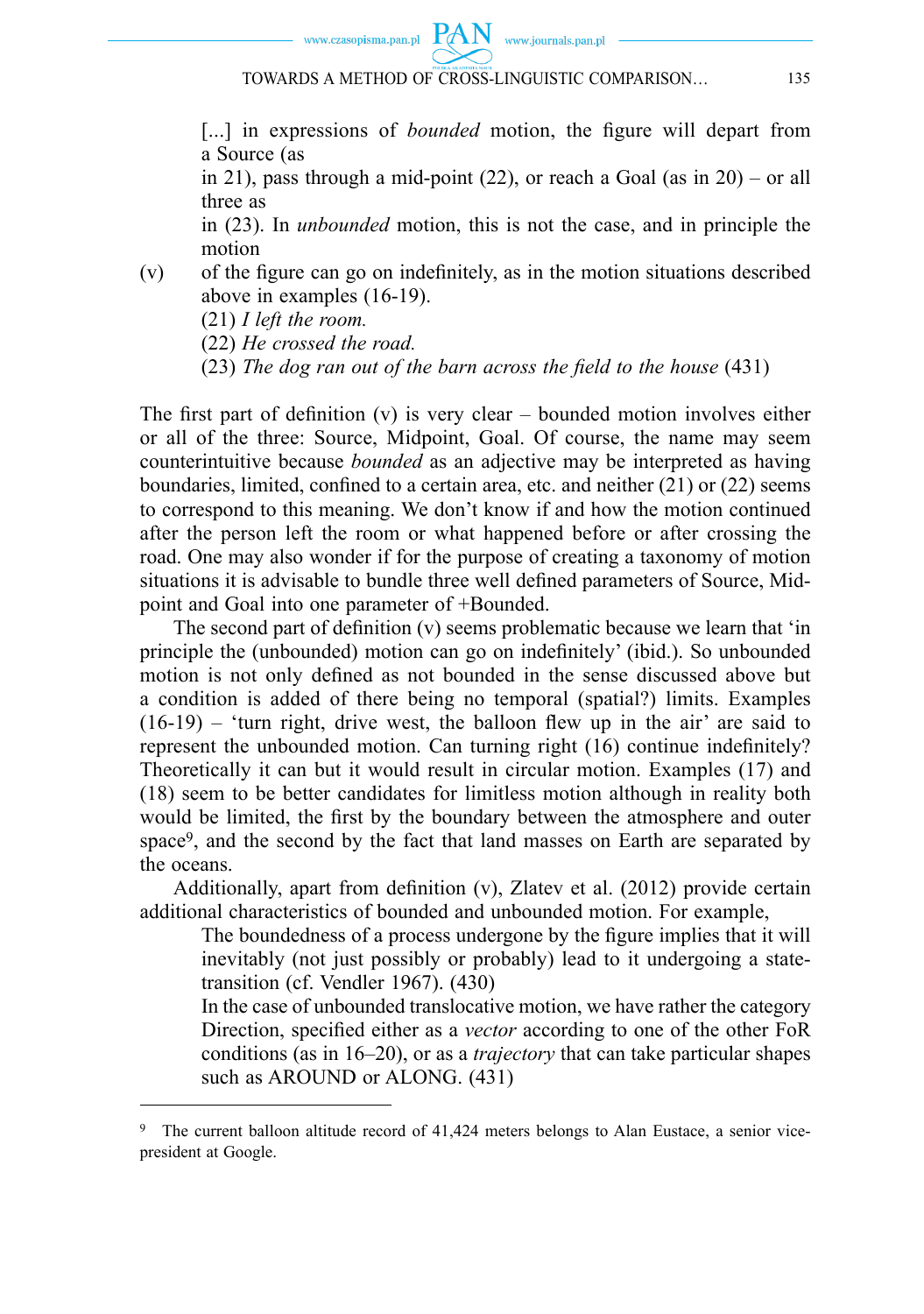

[...] in expressions of *bounded* motion, the figure will depart from a Source (as

in 21), pass through a mid-point  $(22)$ , or reach a Goal (as in 20) – or all three as

 in (23). In *unbounded* motion, this is not the case, and in principle the motion

 $(v)$  of the figure can go on indefinitely, as in the motion situations described above in examples (16-19).

(21) *I left the room.* 

(22) *He crossed the road.* 

(23) *The dog ran out of the barn across the field to the house* (431)

The first part of definition (v) is very clear – bounded motion involves either or all of the three: Source, Midpoint, Goal. Of course, the name may seem counterintuitive because *bounded* as an adjective may be interpreted as having boundaries, limited, confined to a certain area, etc. and neither  $(21)$  or  $(22)$  seems to correspond to this meaning. We don't know if and how the motion continued after the person left the room or what happened before or after crossing the road. One may also wonder if for the purpose of creating a taxonomy of motion situations it is advisable to bundle three well defined parameters of Source, Midpoint and Goal into one parameter of +Bounded.

The second part of definition  $(v)$  seems problematic because we learn that 'in principle the (unbounded) motion can go on indefinitely' (ibid.). So unbounded motion is not only defined as not bounded in the sense discussed above but a condition is added of there being no temporal (spatial?) limits. Examples  $(16-19)$  – 'turn right, drive west, the balloon flew up in the air' are said to represent the unbounded motion. Can turning right  $(16)$  continue indefinitely? Theoretically it can but it would result in circular motion. Examples (17) and (18) seem to be better candidates for limitless motion although in reality both would be limited, the first by the boundary between the atmosphere and outer space9, and the second by the fact that land masses on Earth are separated by the oceans.

Additionally, apart from definition  $(v)$ , Zlatev et al. (2012) provide certain additional characteristics of bounded and unbounded motion. For example,

The boundedness of a process undergone by the figure implies that it will inevitably (not just possibly or probably) lead to it undergoing a statetransition (cf. Vendler 1967). (430)

In the case of unbounded transflocative motion, we have rather the category Direction, specified either as a *vector* according to one of the other FoR conditions (as in 16–20), or as a *trajectory* that can take particular shapes such as AROUND or ALONG. (431)

<sup>9</sup> The current balloon altitude record of 41,424 meters belongs to Alan Eustace, a senior vicepresident at Google.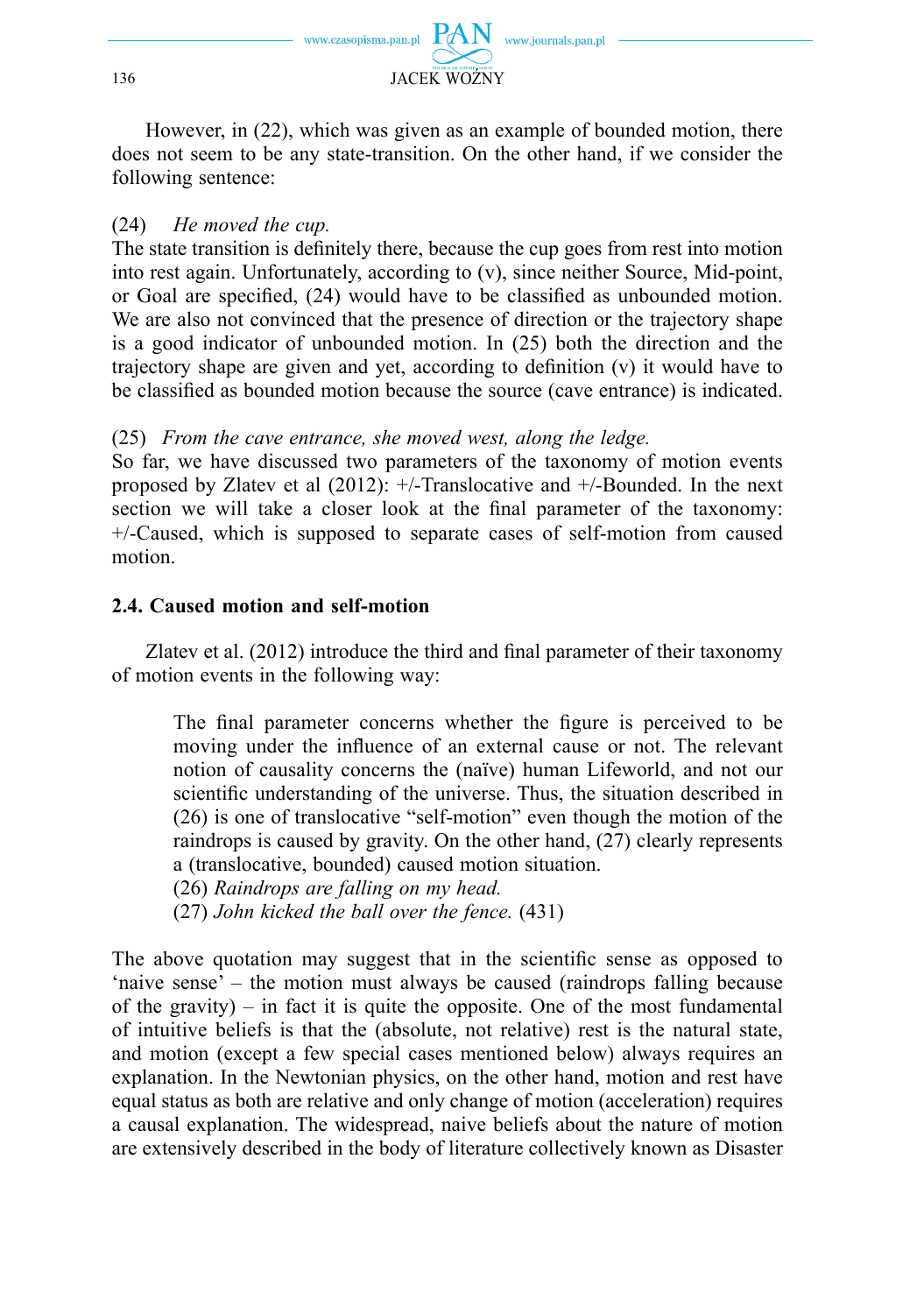

However, in (22), which was given as an example of bounded motion, there does not seem to be any state-transition. On the other hand, if we consider the following sentence:

### (24) *He moved the cup.*

The state transition is definitely there, because the cup goes from rest into motion into rest again. Unfortunately, according to (v), since neither Source, Mid-point, or Goal are specified,  $(24)$  would have to be classified as unbounded motion. We are also not convinced that the presence of direction or the trajectory shape is a good indicator of unbounded motion. In (25) both the direction and the trajectory shape are given and yet, according to definition  $(v)$  it would have to be classified as bounded motion because the source (cave entrance) is indicated.

(25) *From the cave entrance, she moved west, along the ledge.*

So far, we have discussed two parameters of the taxonomy of motion events proposed by Zlatev et al (2012): +/-Translocative and +/-Bounded. In the next section we will take a closer look at the final parameter of the taxonomy: +/-Caused, which is supposed to separate cases of self-motion from caused motion.

### **2.4. Caused motion and self-motion**

Zlatev et al.  $(2012)$  introduce the third and final parameter of their taxonomy of motion events in the following way:

The final parameter concerns whether the figure is perceived to be moving under the influence of an external cause or not. The relevant notion of causality concerns the (naïve) human Lifeworld, and not our scientific understanding of the universe. Thus, the situation described in (26) is one of translocative "self-motion" even though the motion of the raindrops is caused by gravity. On the other hand, (27) clearly represents a (translocative, bounded) caused motion situation.

(26) *Raindrops are falling on my head.* 

(27) *John kicked the ball over the fence.* (431)

The above quotation may suggest that in the scientific sense as opposed to 'naive sense' – the motion must always be caused (raindrops falling because of the gravity) – in fact it is quite the opposite. One of the most fundamental of intuitive beliefs is that the (absolute, not relative) rest is the natural state, and motion (except a few special cases mentioned below) always requires an explanation. In the Newtonian physics, on the other hand, motion and rest have equal status as both are relative and only change of motion (acceleration) requires a causal explanation. The widespread, naive beliefs about the nature of motion are extensively described in the body of literature collectively known as Disaster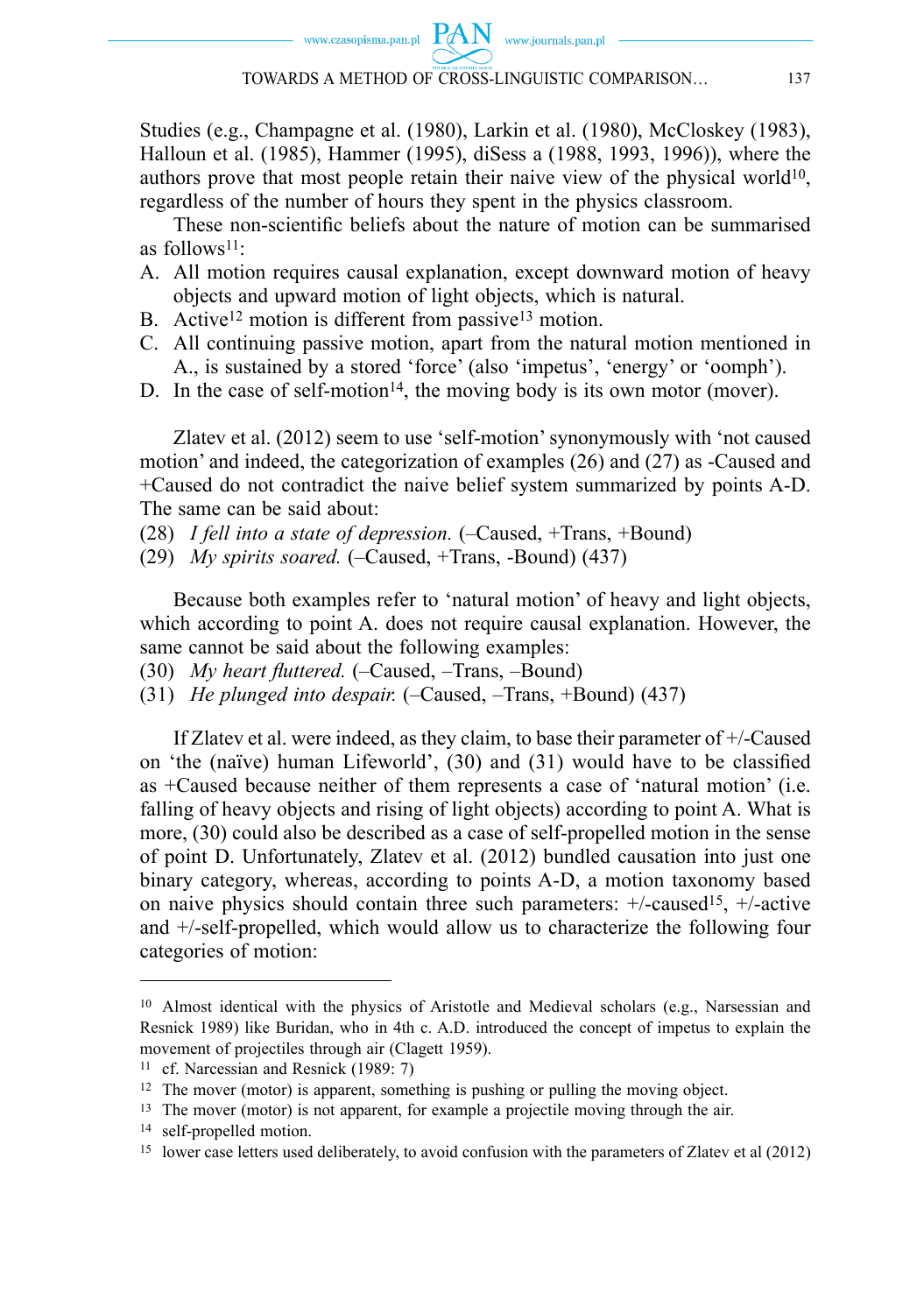Studies (e.g., Champagne et al. (1980), Larkin et al. (1980), McCloskey (1983), Halloun et al. (1985), Hammer (1995), diSess a (1988, 1993, 1996)), where the authors prove that most people retain their naive view of the physical world<sup>10</sup>, regardless of the number of hours they spent in the physics classroom.

These non-scientific beliefs about the nature of motion can be summarised as follows11:

- A. All motion requires causal explanation, except downward motion of heavy objects and upward motion of light objects, which is natural.
- B. Active<sup>12</sup> motion is different from passive<sup>13</sup> motion.
- C. All continuing passive motion, apart from the natural motion mentioned in A., is sustained by a stored 'force' (also 'impetus', 'energy' or 'oomph').
- D. In the case of self-motion<sup>14</sup>, the moving body is its own motor (mover).

Zlatev et al. (2012) seem to use 'self-motion' synonymously with 'not caused motion' and indeed, the categorization of examples (26) and (27) as -Caused and +Caused do not contradict the naive belief system summarized by points A-D. The same can be said about:

- (28) *I fell into a state of depression.* (–Caused, +Trans, +Bound)
- (29) *My spirits soared.* (–Caused, +Trans, -Bound) (437)

Because both examples refer to 'natural motion' of heavy and light objects, which according to point A. does not require causal explanation. However, the same cannot be said about the following examples:

- (30) *My heart fluttered.* (-Caused, -Trans, -Bound)
- (31) *He plunged into despair.* (–Caused, –Trans, +Bound) (437)

If Zlatev et al. were indeed, as they claim, to base their parameter of +/-Caused on 'the (naïve) human Lifeworld',  $(30)$  and  $(31)$  would have to be classified as +Caused because neither of them represents a case of 'natural motion' (i.e. falling of heavy objects and rising of light objects) according to point A. What is more, (30) could also be described as a case of self-propelled motion in the sense of point D. Unfortunately, Zlatev et al. (2012) bundled causation into just one binary category, whereas, according to points A-D, a motion taxonomy based on naive physics should contain three such parameters:  $+/-$ caused<sup>15</sup>,  $+/-$ active and +/-self-propelled, which would allow us to characterize the following four categories of motion:

<sup>&</sup>lt;sup>10</sup> Almost identical with the physics of Aristotle and Medieval scholars (e.g., Narsessian and Resnick 1989) like Buridan, who in 4th c. A.D. introduced the concept of impetus to explain the movement of projectiles through air (Clagett 1959).

<sup>11</sup> cf. Narcessian and Resnick (1989: 7)

<sup>12</sup> The mover (motor) is apparent, something is pushing or pulling the moving object.

<sup>13</sup> The mover (motor) is not apparent, for example a projectile moving through the air.

<sup>14</sup> self-propelled motion.

<sup>15</sup> lower case letters used deliberately, to avoid confusion with the parameters of Zlatev et al (2012)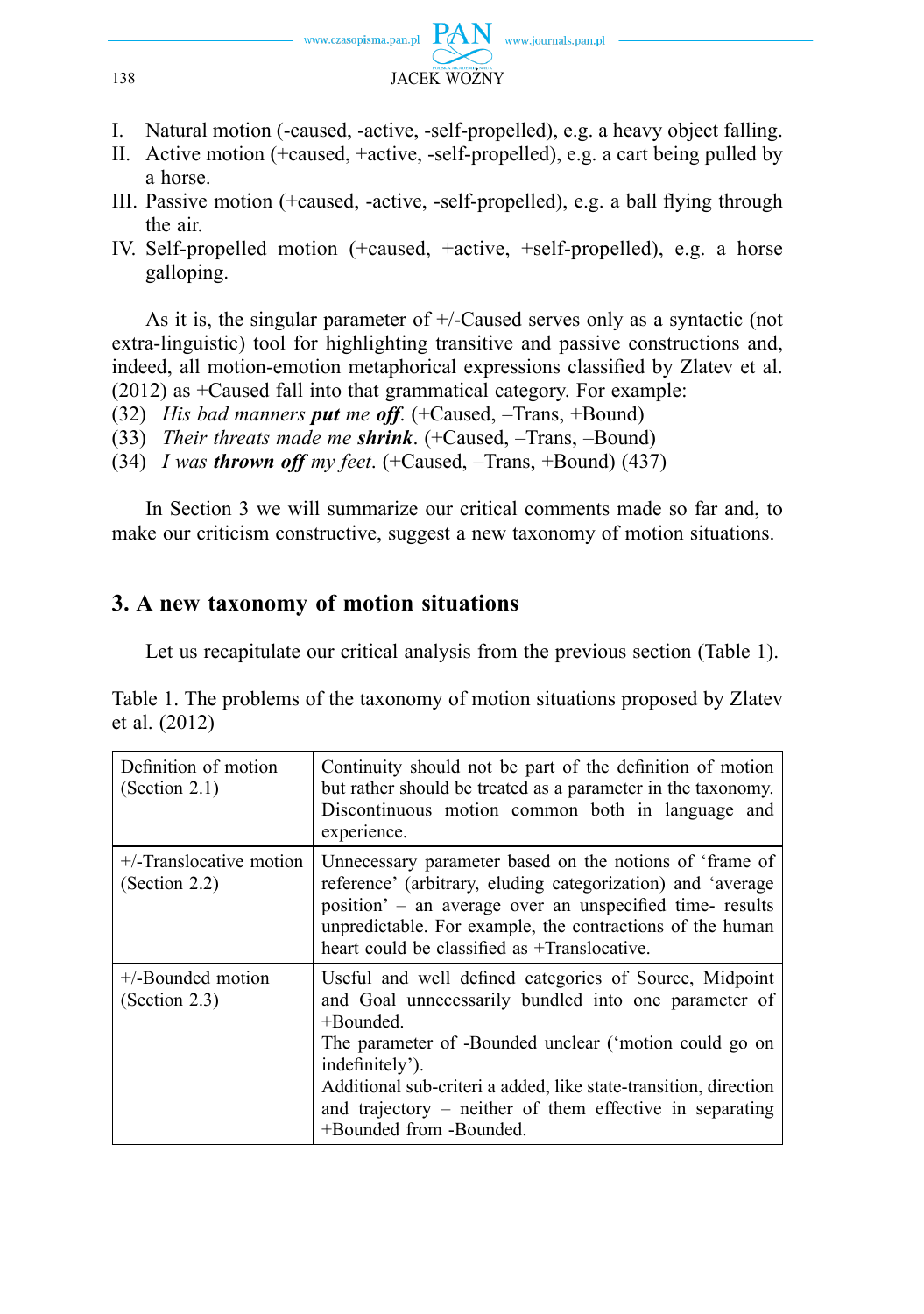

- I. Natural motion (-caused, -active, -self-propelled), e.g. a heavy object falling.
- II. Active motion (+caused, +active, -self-propelled), e.g. a cart being pulled by a horse.
- III. Passive motion (+caused, -active, -self-propelled), e.g. a ball flying through the air.
- IV. Self-propelled motion (+caused, +active, +self-propelled), e.g. a horse galloping.

As it is, the singular parameter of +/-Caused serves only as a syntactic (not extra-linguistic) tool for highlighting transitive and passive constructions and, indeed, all motion-emotion metaphorical expressions classified by Zlatev et al. (2012) as +Caused fall into that grammatical category. For example:

- (32) *His bad manners put me off*. (+Caused, –Trans, +Bound)
- (33) *Their threats made me shrink*. (+Caused, –Trans, –Bound)
- (34) *I was thrown off my feet*. (+Caused, –Trans, +Bound) (437)

In Section 3 we will summarize our critical comments made so far and, to make our criticism constructive, suggest a new taxonomy of motion situations.

## **3. A new taxonomy of motion situations**

Let us recapitulate our critical analysis from the previous section (Table 1).

Table 1. The problems of the taxonomy of motion situations proposed by Zlatev et al. (2012)

| Definition of motion<br>(Section 2.1)       | Continuity should not be part of the definition of motion<br>but rather should be treated as a parameter in the taxonomy.<br>Discontinuous motion common both in language and<br>experience.                                                                                                                                                                           |
|---------------------------------------------|------------------------------------------------------------------------------------------------------------------------------------------------------------------------------------------------------------------------------------------------------------------------------------------------------------------------------------------------------------------------|
| $+$ /-Translocative motion<br>(Section 2.2) | Unnecessary parameter based on the notions of 'frame of<br>reference' (arbitrary, eluding categorization) and 'average<br>position' – an average over an unspecified time- results<br>unpredictable. For example, the contractions of the human<br>heart could be classified as +Translocative.                                                                        |
| $+$ -Bounded motion<br>(Section 2.3)        | Useful and well defined categories of Source, Midpoint<br>and Goal unnecessarily bundled into one parameter of<br>$+$ Bounded.<br>The parameter of -Bounded unclear ('motion could go on<br>indefinitely').<br>Additional sub-criteri a added, like state-transition, direction<br>and trajectory – neither of them effective in separating<br>+Bounded from -Bounded. |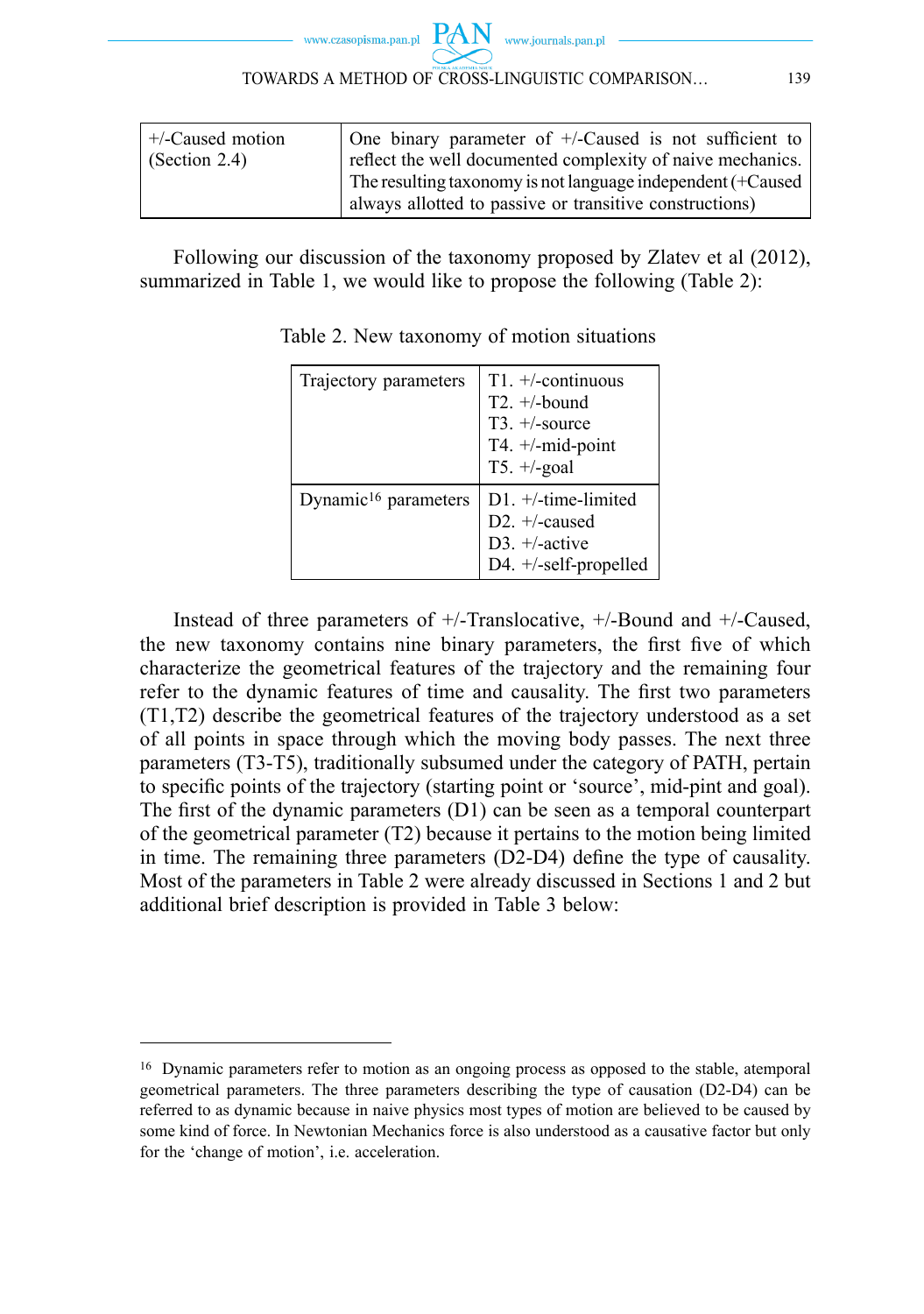www.journals.pan.pl

| $+/-$ Caused motion   | One binary parameter of $+/-$ Caused is not sufficient to   |  |
|-----------------------|-------------------------------------------------------------|--|
| $\vert$ (Section 2.4) | reflect the well documented complexity of naive mechanics.  |  |
|                       | The resulting taxonomy is not language independent (+Caused |  |
|                       | always allotted to passive or transitive constructions)     |  |

Following our discussion of the taxonomy proposed by Zlatev et al (2012), summarized in Table 1, we would like to propose the following (Table 2):

| Trajectory parameters            | $T1. +$ -continuous<br>$T2. +/-$ bound<br>$T3. +$ -source<br>T4. +/-mid-point<br>T5. $+/-$ goal |
|----------------------------------|-------------------------------------------------------------------------------------------------|
| Dynamic <sup>16</sup> parameters | $D1. +/$ -time-limited<br>$D2. +$ -caused<br>D3. +/-active<br>D4. +/-self-propelled             |

Table 2. New taxonomy of motion situations

Instead of three parameters of +/-Translocative, +/-Bound and +/-Caused, the new taxonomy contains nine binary parameters, the first five of which characterize the geometrical features of the trajectory and the remaining four refer to the dynamic features of time and causality. The first two parameters (T1,T2) describe the geometrical features of the trajectory understood as a set of all points in space through which the moving body passes. The next three parameters (T3-T5), traditionally subsumed under the category of PATH, pertain to specific points of the trajectory (starting point or 'source', mid-pint and goal). The first of the dynamic parameters  $(D1)$  can be seen as a temporal counterpart of the geometrical parameter (T2) because it pertains to the motion being limited in time. The remaining three parameters (D2-D4) define the type of causality. Most of the parameters in Table 2 were already discussed in Sections 1 and 2 but additional brief description is provided in Table 3 below:

<sup>16</sup> Dynamic parameters refer to motion as an ongoing process as opposed to the stable, atemporal geometrical parameters. The three parameters describing the type of causation (D2-D4) can be referred to as dynamic because in naive physics most types of motion are believed to be caused by some kind of force. In Newtonian Mechanics force is also understood as a causative factor but only for the 'change of motion', i.e. acceleration.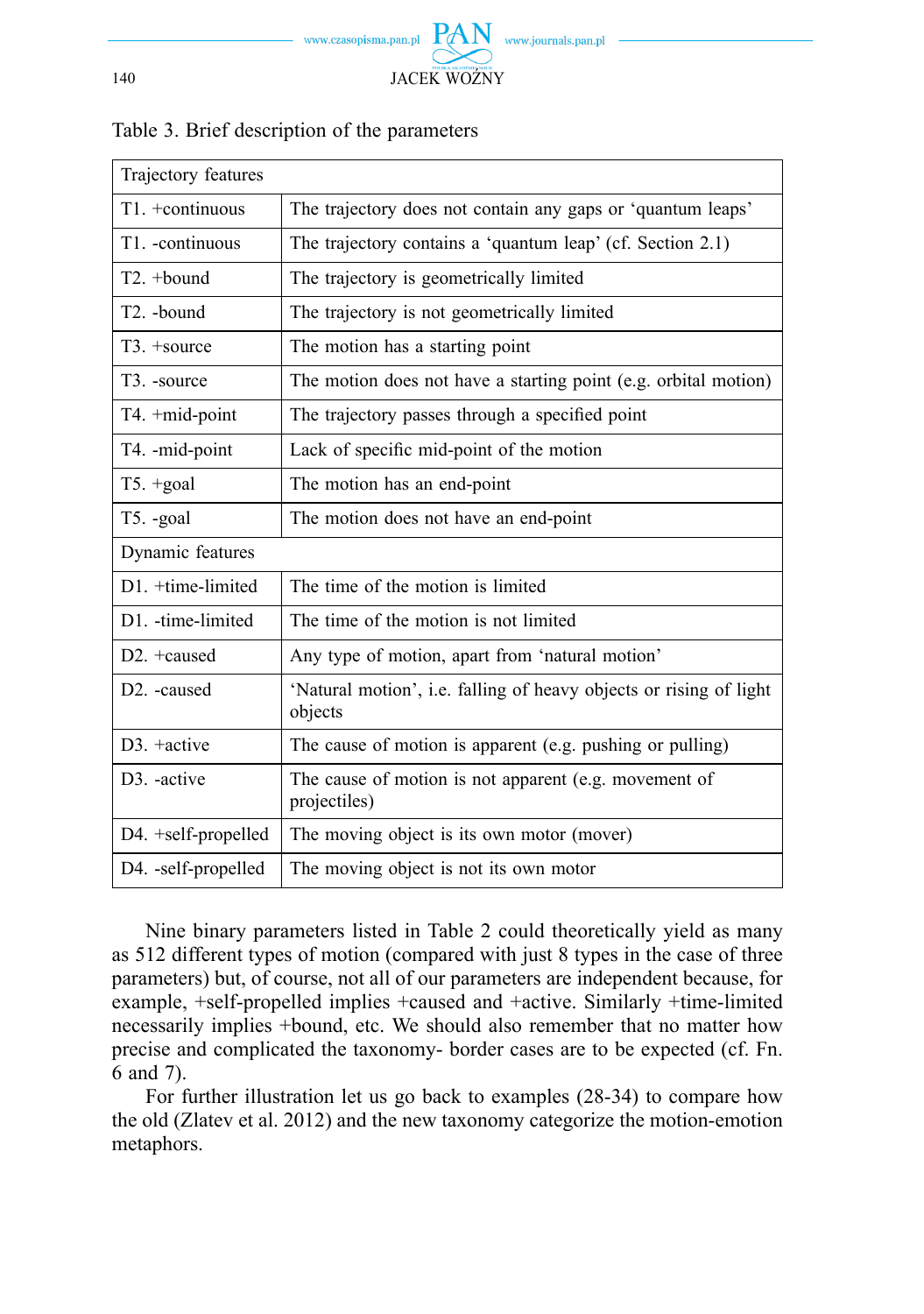

| Trajectory features      |                                                                               |  |
|--------------------------|-------------------------------------------------------------------------------|--|
| T1. +continuous          | The trajectory does not contain any gaps or 'quantum leaps'                   |  |
| T1. - continuous         | The trajectory contains a 'quantum leap' (cf. Section 2.1)                    |  |
| T2. +bound               | The trajectory is geometrically limited                                       |  |
| T <sub>2</sub> . -bound  | The trajectory is not geometrically limited                                   |  |
| T <sub>3</sub> . +source | The motion has a starting point                                               |  |
| T <sub>3</sub> . -source | The motion does not have a starting point (e.g. orbital motion)               |  |
| T4. +mid-point           | The trajectory passes through a specified point                               |  |
| T4. -mid-point           | Lack of specific mid-point of the motion                                      |  |
| $T5. + goal$             | The motion has an end-point                                                   |  |
| T5. -goal                | The motion does not have an end-point                                         |  |
| Dynamic features         |                                                                               |  |
| D1. +time-limited        | The time of the motion is limited                                             |  |
| D1. -time-limited        | The time of the motion is not limited                                         |  |
| $D2. +caused$            | Any type of motion, apart from 'natural motion'                               |  |
| D <sub>2</sub> . -caused | 'Natural motion', i.e. falling of heavy objects or rising of light<br>objects |  |
| $D3. +$ active           | The cause of motion is apparent (e.g. pushing or pulling)                     |  |
| D <sub>3</sub> . -active | The cause of motion is not apparent (e.g. movement of<br>projectiles)         |  |
| D4. +self-propelled      | The moving object is its own motor (mover)                                    |  |
| D4. -self-propelled      | The moving object is not its own motor                                        |  |

### Table 3. Brief description of the parameters

Nine binary parameters listed in Table 2 could theoretically yield as many as 512 different types of motion (compared with just 8 types in the case of three parameters) but, of course, not all of our parameters are independent because, for example, +self-propelled implies +caused and +active. Similarly +time-limited necessarily implies +bound, etc. We should also remember that no matter how precise and complicated the taxonomy- border cases are to be expected (cf. Fn. 6 and 7).

For further illustration let us go back to examples (28-34) to compare how the old (Zlatev et al. 2012) and the new taxonomy categorize the motion-emotion metaphors.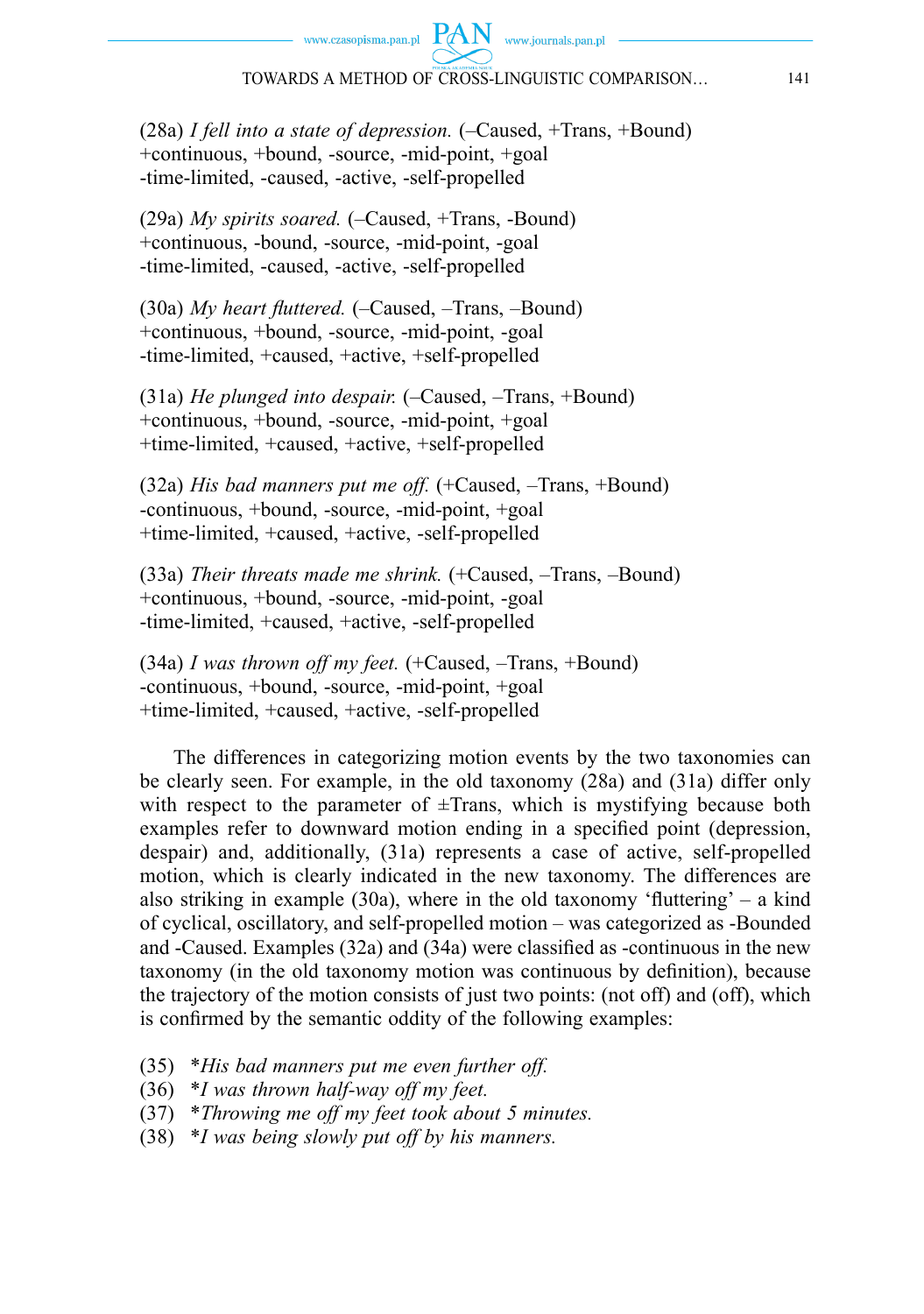www.czasopisma.pan.pl  $PAN$  www.journals.pan.pl

(28a) *I fell into a state of depression.* (–Caused, +Trans, +Bound) +continuous, +bound, -source, -mid-point, +goal -time-limited, -caused, -active, -self-propelled

(29a) *My spirits soared.* (–Caused, +Trans, -Bound) +continuous, -bound, -source, -mid-point, -goal -time-limited, -caused, -active, -self-propelled

(30a) *My heart fluttered.* (-Caused, -Trans, -Bound) +continuous, +bound, -source, -mid-point, -goal -time-limited, +caused, +active, +self-propelled

(31a) *He plunged into despair.* (–Caused, –Trans, +Bound) +continuous, +bound, -source, -mid-point, +goal +time-limited, +caused, +active, +self-propelled

(32a) *His bad manners put me off.* (+Caused, –Trans, +Bound) -continuous, +bound, -source, -mid-point, +goal +time-limited, +caused, +active, -self-propelled

(33a) *Their threats made me shrink.* (+Caused, –Trans, –Bound) +continuous, +bound, -source, -mid-point, -goal -time-limited, +caused, +active, -self-propelled

(34a) *I was thrown off my feet.* (+Caused, –Trans, +Bound) -continuous, +bound, -source, -mid-point, +goal +time-limited, +caused, +active, -self-propelled

The differences in categorizing motion events by the two taxonomies can be clearly seen. For example, in the old taxonomy (28a) and (31a) differ only with respect to the parameter of  $\pm$ Trans, which is mystifying because both examples refer to downward motion ending in a specified point (depression, despair) and, additionally, (31a) represents a case of active, self-propelled motion, which is clearly indicated in the new taxonomy. The differences are also striking in example  $(30a)$ , where in the old taxonomy 'fluttering' – a kind of cyclical, oscillatory, and self-propelled motion – was categorized as -Bounded and -Caused. Examples  $(32a)$  and  $(34a)$  were classified as -continuous in the new taxonomy (in the old taxonomy motion was continuous by definition), because the trajectory of the motion consists of just two points: (not off) and (off), which is confirmed by the semantic oddity of the following examples:

- (35) \**His bad manners put me even further off.*
- (36) \**I was thrown half-way off my feet.*
- (37) \**Throwing me off my feet took about 5 minutes.*
- (38) \**I was being slowly put off by his manners.*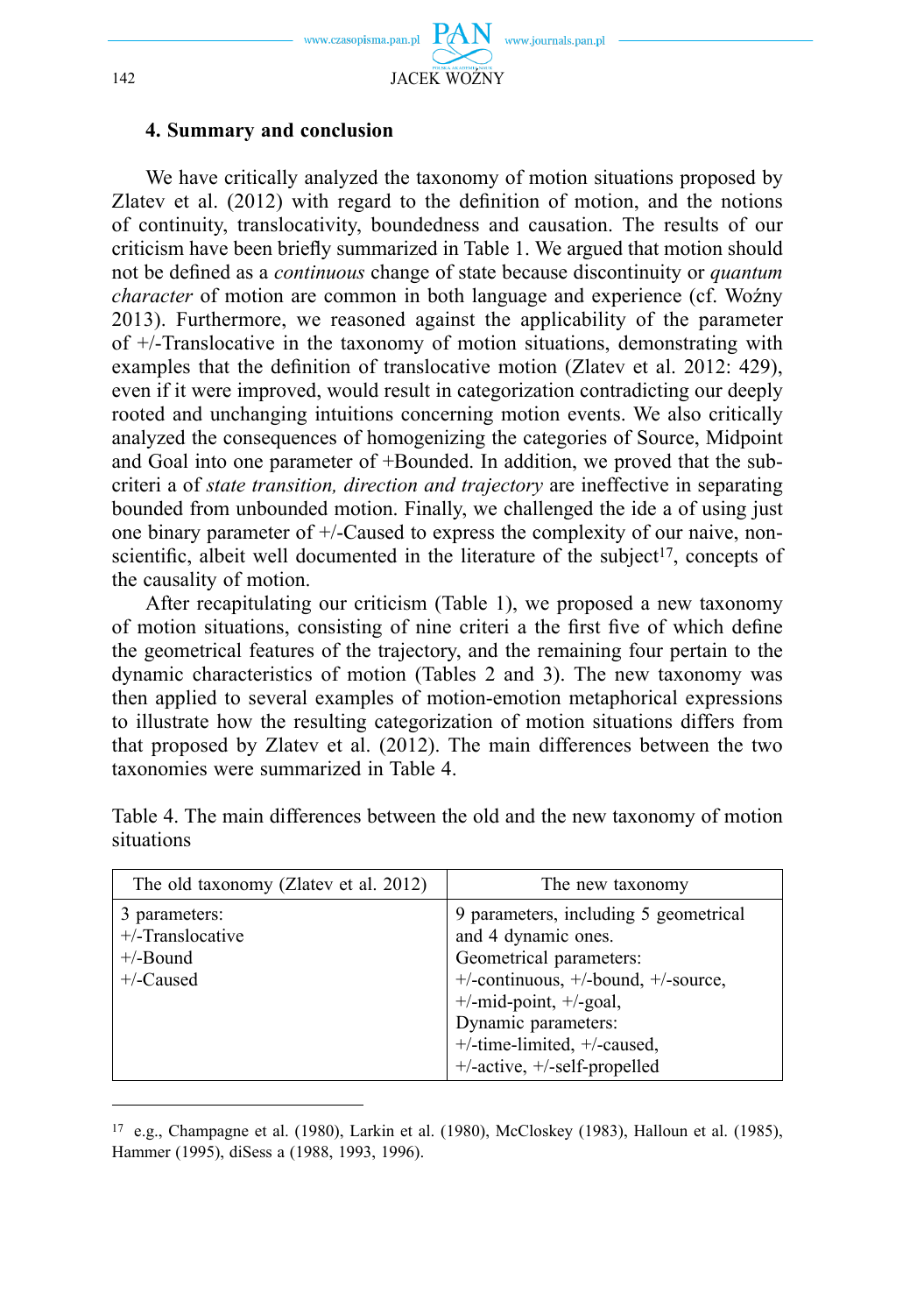

#### **4. Summary and conclusion**

We have critically analyzed the taxonomy of motion situations proposed by Zlatev et al.  $(2012)$  with regard to the definition of motion, and the notions of continuity, translocativity, boundedness and causation. The results of our criticism have been briefly summarized in Table 1. We argued that motion should not be defined as a *continuous* change of state because discontinuity or *quantum character* of motion are common in both language and experience (cf. Woźny 2013). Furthermore, we reasoned against the applicability of the parameter of +/-Translocative in the taxonomy of motion situations, demonstrating with examples that the definition of translocative motion (Zlatev et al. 2012: 429), even if it were improved, would result in categorization contradicting our deeply rooted and unchanging intuitions concerning motion events. We also critically analyzed the consequences of homogenizing the categories of Source, Midpoint and Goal into one parameter of +Bounded. In addition, we proved that the subcriteri a of *state transition, direction and trajectory* are ineffective in separating bounded from unbounded motion. Finally, we challenged the ide a of using just one binary parameter of +/-Caused to express the complexity of our naive, nonscientific, albeit well documented in the literature of the subject<sup>17</sup>, concepts of the causality of motion.

After recapitulating our criticism (Table 1), we proposed a new taxonomy of motion situations, consisting of nine criteri a the first five of which define the geometrical features of the trajectory, and the remaining four pertain to the dynamic characteristics of motion (Tables 2 and 3). The new taxonomy was then applied to several examples of motion-emotion metaphorical expressions to illustrate how the resulting categorization of motion situations differs from that proposed by Zlatev et al. (2012). The main differences between the two taxonomies were summarized in Table 4.

| The old taxonomy (Zlatev et al. 2012)                               | The new taxonomy                                                                                                                                                                                                                                                    |
|---------------------------------------------------------------------|---------------------------------------------------------------------------------------------------------------------------------------------------------------------------------------------------------------------------------------------------------------------|
| 3 parameters:<br>$+/-$ Translocative<br>$+/-$ Bound<br>$+/-$ Caused | 9 parameters, including 5 geometrical<br>and 4 dynamic ones.<br>Geometrical parameters:<br>$+/-$ continuous, $+/-$ bound, $+/-$ source,<br>$+/-$ mid-point, $+/-$ goal,<br>Dynamic parameters:<br>$+/-$ time-limited, $+/-$ caused,<br>+/-active, +/-self-propelled |

Table 4. The main differences between the old and the new taxonomy of motion situations

<sup>17</sup> e.g., Champagne et al. (1980), Larkin et al. (1980), McCloskey (1983), Halloun et al. (1985), Hammer (1995), diSess a (1988, 1993, 1996).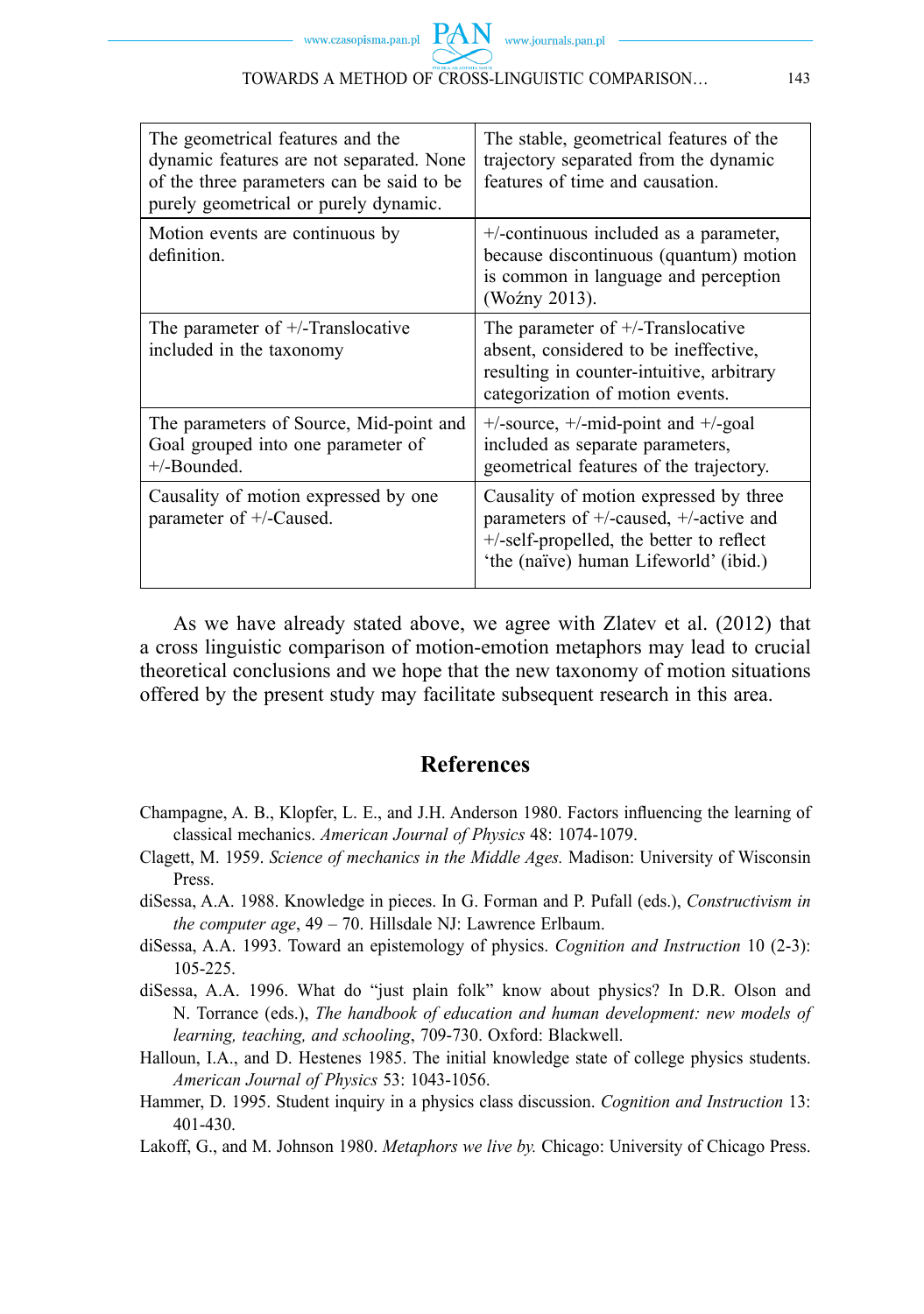| The geometrical features and the<br>dynamic features are not separated. None<br>of the three parameters can be said to be<br>purely geometrical or purely dynamic. | The stable, geometrical features of the<br>trajectory separated from the dynamic<br>features of time and causation.                                                   |
|--------------------------------------------------------------------------------------------------------------------------------------------------------------------|-----------------------------------------------------------------------------------------------------------------------------------------------------------------------|
| Motion events are continuous by<br>definition.                                                                                                                     | +/-continuous included as a parameter,<br>because discontinuous (quantum) motion<br>is common in language and perception<br>(Woźny 2013).                             |
| The parameter of $+/-$ Translocative<br>included in the taxonomy                                                                                                   | The parameter of $+/-$ Translocative<br>absent, considered to be ineffective,<br>resulting in counter-intuitive, arbitrary<br>categorization of motion events.        |
| The parameters of Source, Mid-point and<br>Goal grouped into one parameter of<br>$+/-$ Bounded.                                                                    | $+/-$ source, $+/-$ mid-point and $+/-$ goal<br>included as separate parameters,<br>geometrical features of the trajectory.                                           |
| Causality of motion expressed by one<br>parameter of +/-Caused.                                                                                                    | Causality of motion expressed by three<br>parameters of +/-caused, +/-active and<br>+/-self-propelled, the better to reflect<br>'the (naïve) human Lifeworld' (ibid.) |

As we have already stated above, we agree with Zlatev et al. (2012) that a cross linguistic comparison of motion-emotion metaphors may lead to crucial theoretical conclusions and we hope that the new taxonomy of motion situations offered by the present study may facilitate subsequent research in this area.

# **References**

- Champagne, A. B., Klopfer, L. E., and J.H. Anderson 1980. Factors influencing the learning of classical mechanics. *American Journal of Physics* 48: 1074-1079.
- Clagett, M. 1959. *Science of mechanics in the Middle Ages.* Madison: University of Wisconsin Press.
- diSessa, A.A. 1988. Knowledge in pieces. In G. Forman and P. Pufall (eds.), *Constructivism in the computer age*, 49 – 70. Hillsdale NJ: Lawrence Erlbaum.
- diSessa, A.A. 1993. Toward an epistemology of physics. *Cognition and Instruction* 10 (2-3): 105-225.
- diSessa, A.A. 1996. What do "just plain folk" know about physics? In D.R. Olson and N. Torrance (eds.), *The handbook of education and human development: new models of learning, teaching, and schooling*, 709-730. Oxford: Blackwell.
- Halloun, I.A., and D. Hestenes 1985. The initial knowledge state of college physics students. *American Journal of Physics* 53: 1043-1056.
- Hammer, D. 1995. Student inquiry in a physics class discussion. *Cognition and Instruction* 13: 401-430.
- Lakoff, G., and M. Johnson 1980. *Metaphors we live by.* Chicago: University of Chicago Press.